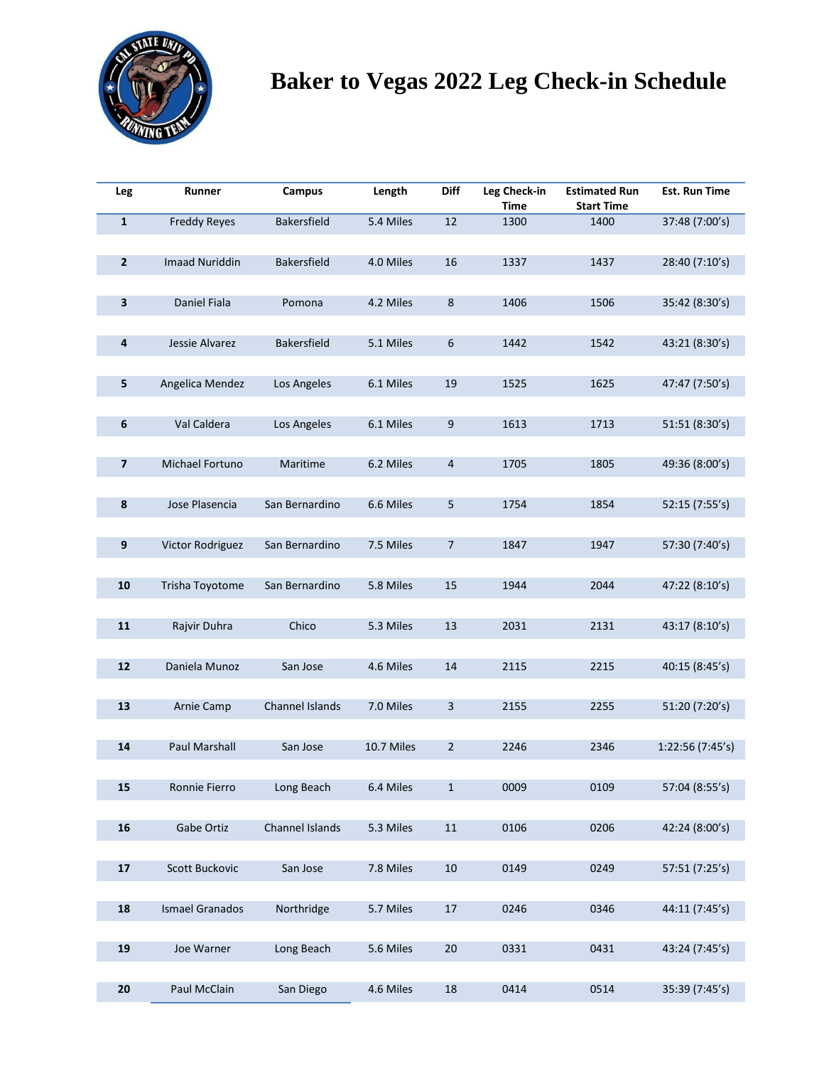

# **Baker to Vegas 2022 Leg Check-in Schedule**

| Leg          | Runner                 | Campus             | Length     | <b>Diff</b>      | Leg Check-in<br>Time | <b>Estimated Run</b><br><b>Start Time</b> | <b>Est. Run Time</b> |
|--------------|------------------------|--------------------|------------|------------------|----------------------|-------------------------------------------|----------------------|
| $\mathbf{1}$ | <b>Freddy Reyes</b>    | Bakersfield        | 5.4 Miles  | 12               | 1300                 | 1400                                      | 37:48 (7:00's)       |
|              |                        |                    |            |                  |                      |                                           |                      |
| $\mathbf{2}$ | <b>Imaad Nuriddin</b>  | <b>Bakersfield</b> | 4.0 Miles  | 16               | 1337                 | 1437                                      | 28:40 (7:10's)       |
|              |                        |                    |            |                  |                      |                                           |                      |
| 3            | Daniel Fiala           | Pomona             | 4.2 Miles  | $\bf 8$          | 1406                 | 1506                                      | 35:42 (8:30's)       |
| 4            | Jessie Alvarez         | <b>Bakersfield</b> | 5.1 Miles  | $\boldsymbol{6}$ | 1442                 | 1542                                      |                      |
|              |                        |                    |            |                  |                      |                                           | 43:21 (8:30's)       |
| 5            | Angelica Mendez        | Los Angeles        | 6.1 Miles  | 19               | 1525                 | 1625                                      | 47:47 (7:50's)       |
|              |                        |                    |            |                  |                      |                                           |                      |
| 6            | Val Caldera            | Los Angeles        | 6.1 Miles  | $\boldsymbol{9}$ | 1613                 | 1713                                      | 51:51 (8:30's)       |
|              |                        |                    |            |                  |                      |                                           |                      |
| 7            | Michael Fortuno        | Maritime           | 6.2 Miles  | $\overline{4}$   | 1705                 | 1805                                      | 49:36 (8:00's)       |
|              |                        |                    |            |                  |                      |                                           |                      |
| 8            | Jose Plasencia         | San Bernardino     | 6.6 Miles  | 5                | 1754                 | 1854                                      | 52:15 (7:55's)       |
|              |                        |                    |            |                  |                      |                                           |                      |
| 9            | Victor Rodriguez       | San Bernardino     | 7.5 Miles  | $\overline{7}$   | 1847                 | 1947                                      | 57:30 (7:40's)       |
|              |                        |                    |            |                  |                      |                                           |                      |
| 10           | Trisha Toyotome        | San Bernardino     | 5.8 Miles  | 15               | 1944                 | 2044                                      | 47:22 (8:10's)       |
| 11           | Rajvir Duhra           | Chico              | 5.3 Miles  | 13               | 2031                 | 2131                                      | 43:17 (8:10's)       |
|              |                        |                    |            |                  |                      |                                           |                      |
| 12           | Daniela Munoz          | San Jose           | 4.6 Miles  | 14               | 2115                 | 2215                                      | 40:15 (8:45's)       |
|              |                        |                    |            |                  |                      |                                           |                      |
| 13           | Arnie Camp             | Channel Islands    | 7.0 Miles  | 3                | 2155                 | 2255                                      | 51:20 (7:20's)       |
|              |                        |                    |            |                  |                      |                                           |                      |
| 14           | <b>Paul Marshall</b>   | San Jose           | 10.7 Miles | $\overline{2}$   | 2246                 | 2346                                      | 1:22:56(7:45's)      |
|              |                        |                    |            |                  |                      |                                           |                      |
| 15           | Ronnie Fierro          | Long Beach         | 6.4 Miles  | $\mathbf 1$      | 0009                 | 0109                                      | 57:04 (8:55's)       |
|              |                        |                    |            |                  |                      |                                           |                      |
| 16           | Gabe Ortiz             | Channel Islands    | 5.3 Miles  | $11\,$           | 0106                 | 0206                                      | 42:24 (8:00's)       |
| 17           | Scott Buckovic         | San Jose           | 7.8 Miles  | $10\,$           | 0149                 | 0249                                      | 57:51 (7:25's)       |
|              |                        |                    |            |                  |                      |                                           |                      |
| 18           | <b>Ismael Granados</b> | Northridge         | 5.7 Miles  | $17\,$           | 0246                 | 0346                                      | 44:11 (7:45's)       |
|              |                        |                    |            |                  |                      |                                           |                      |
| 19           | Joe Warner             | Long Beach         | 5.6 Miles  | $20\,$           | 0331                 | 0431                                      | 43:24 (7:45's)       |
|              |                        |                    |            |                  |                      |                                           |                      |
| 20           | Paul McClain           | San Diego          | 4.6 Miles  | $18\,$           | 0414                 | 0514                                      | 35:39 (7:45's)       |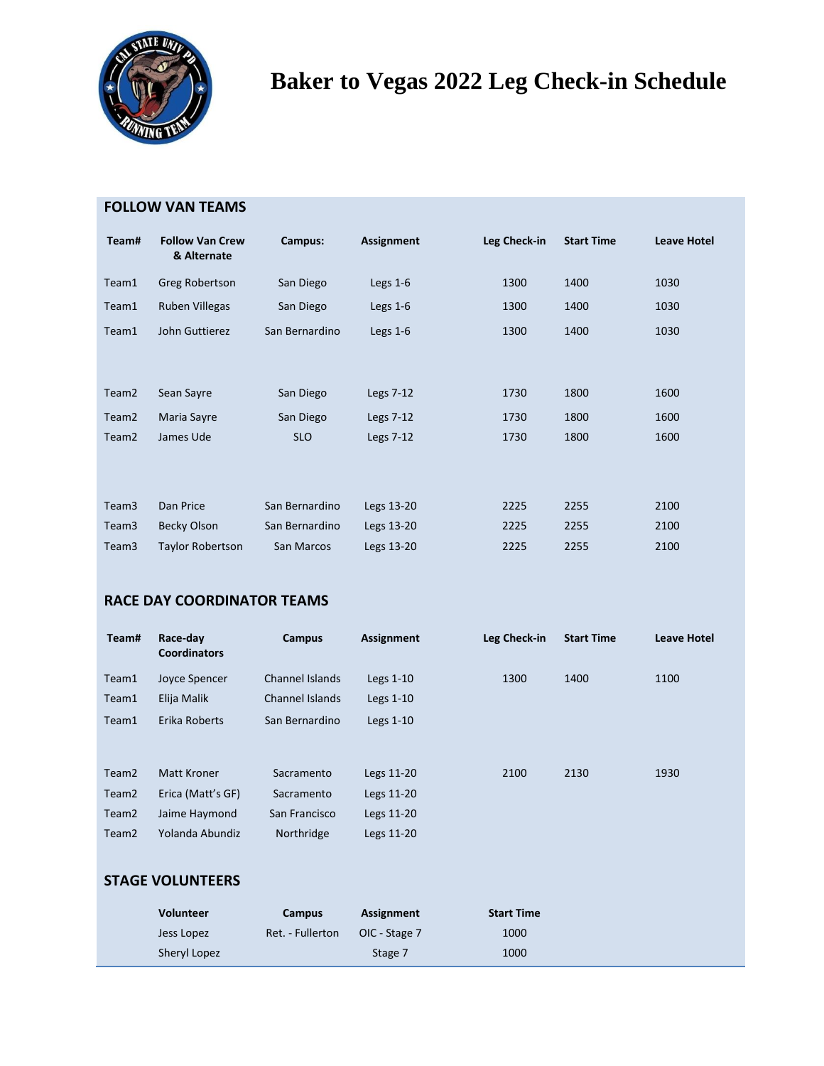

## **Baker to Vegas 2022 Leg Check-in Schedule**

| Team#             | <b>Follow Van Crew</b><br>& Alternate | Campus:        | Assignment | Leg Check-in | <b>Start Time</b> | <b>Leave Hotel</b> |
|-------------------|---------------------------------------|----------------|------------|--------------|-------------------|--------------------|
| Team1             | Greg Robertson                        | San Diego      | Legs $1-6$ | 1300         | 1400              | 1030               |
| Team1             | Ruben Villegas                        | San Diego      | Legs $1-6$ | 1300         | 1400              | 1030               |
| Team1             | John Guttierez                        | San Bernardino | Legs $1-6$ | 1300         | 1400              | 1030               |
|                   |                                       |                |            |              |                   |                    |
| Team <sub>2</sub> | Sean Sayre                            | San Diego      | Legs 7-12  | 1730         | 1800              | 1600               |
| Team <sub>2</sub> | Maria Sayre                           | San Diego      | Legs 7-12  | 1730         | 1800              | 1600               |
| Team <sub>2</sub> | James Ude                             | <b>SLO</b>     | Legs 7-12  | 1730         | 1800              | 1600               |
|                   |                                       |                |            |              |                   |                    |
| Team <sub>3</sub> | Dan Price                             | San Bernardino | Legs 13-20 | 2225         | 2255              | 2100               |
| Team3             | <b>Becky Olson</b>                    | San Bernardino | Legs 13-20 | 2225         | 2255              | 2100               |
| Team3             | <b>Taylor Robertson</b>               | San Marcos     | Legs 13-20 | 2225         | 2255              | 2100               |

#### **RACE DAY COORDINATOR TEAMS**

| Team#             | Race-day<br><b>Coordinators</b> | Campus          | Assignment  | Leg Check-in      | <b>Start Time</b> | <b>Leave Hotel</b> |
|-------------------|---------------------------------|-----------------|-------------|-------------------|-------------------|--------------------|
| Team1             | Joyce Spencer                   | Channel Islands | Legs $1-10$ | 1300              | 1400              | 1100               |
| Team1             | Elija Malik                     | Channel Islands | Legs $1-10$ |                   |                   |                    |
| Team1             | Erika Roberts                   | San Bernardino  | Legs $1-10$ |                   |                   |                    |
|                   |                                 |                 |             |                   |                   |                    |
| Team <sub>2</sub> | Matt Kroner                     | Sacramento      | Legs 11-20  | 2100              | 2130              | 1930               |
| Team <sub>2</sub> | Erica (Matt's GF)               | Sacramento      | Legs 11-20  |                   |                   |                    |
| Team <sub>2</sub> | Jaime Haymond                   | San Francisco   | Legs 11-20  |                   |                   |                    |
| Team <sub>2</sub> | Yolanda Abundiz                 | Northridge      | Legs 11-20  |                   |                   |                    |
|                   |                                 |                 |             |                   |                   |                    |
|                   | <b>STAGE VOLUNTEERS</b>         |                 |             |                   |                   |                    |
|                   | <b>Volunteer</b>                | Campus          | Assignment  | <b>Start Time</b> |                   |                    |

Jess Lopez Ret. - Fullerton OIC - Stage 7 1000 Sheryl Lopez **Sheryl Lopez** Stage 7 1000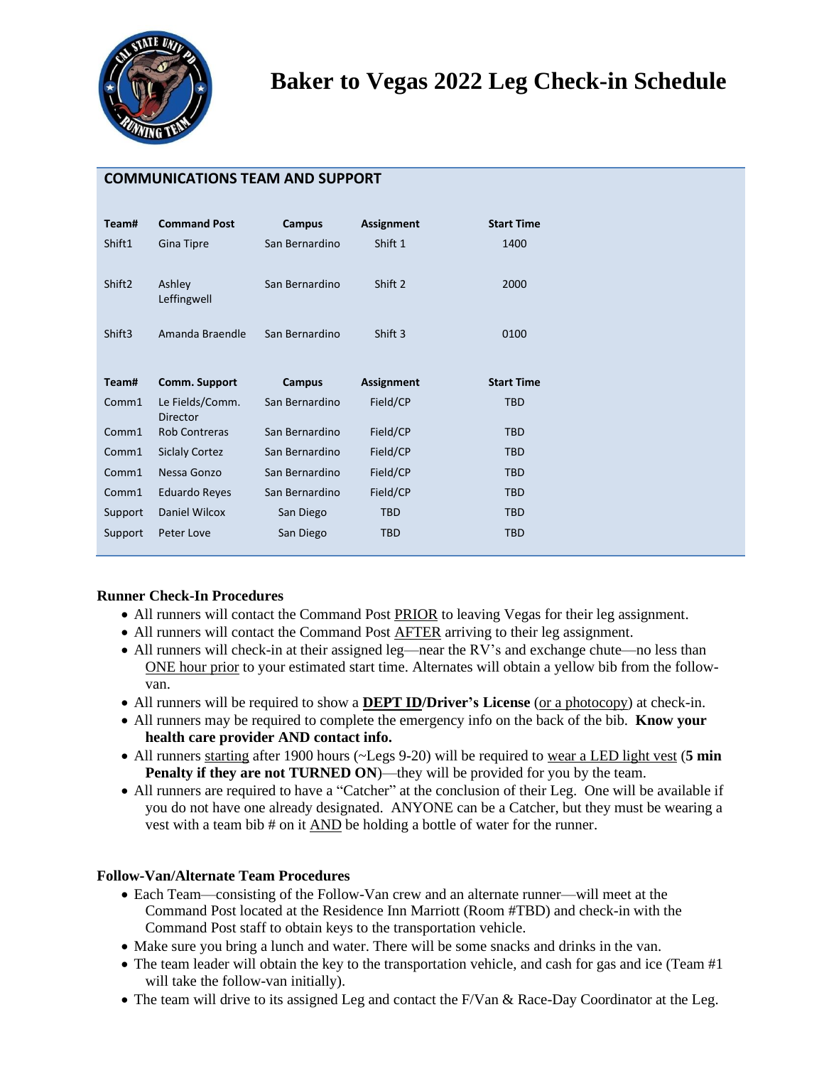

**COMMUNICATIONS TEAM AND SUPPORT**

| Team#              | <b>Command Post</b>   | Campus         | <b>Assignment</b> | <b>Start Time</b> |
|--------------------|-----------------------|----------------|-------------------|-------------------|
| Shift1             | Gina Tipre            | San Bernardino | Shift 1           | 1400              |
|                    |                       |                |                   |                   |
| Shift <sub>2</sub> | Ashley                | San Bernardino | Shift 2           | 2000              |
|                    | Leffingwell           |                |                   |                   |
| Shift <sub>3</sub> | Amanda Braendle       | San Bernardino | Shift 3           | 0100              |
|                    |                       |                |                   |                   |
| Team#              | Comm. Support         | <b>Campus</b>  | Assignment        | <b>Start Time</b> |
|                    | Le Fields/Comm.       | San Bernardino | Field/CP          | <b>TBD</b>        |
| Comm1              |                       |                |                   |                   |
|                    | <b>Director</b>       |                |                   |                   |
| Comm1              | <b>Rob Contreras</b>  | San Bernardino | Field/CP          | <b>TBD</b>        |
| Comm1              | <b>Siclaly Cortez</b> | San Bernardino | Field/CP          | <b>TBD</b>        |
| Comm1              | Nessa Gonzo           | San Bernardino | Field/CP          | <b>TBD</b>        |
| Comm1              | <b>Eduardo Reyes</b>  | San Bernardino | Field/CP          | <b>TBD</b>        |
| Support            | Daniel Wilcox         | San Diego      | <b>TBD</b>        | <b>TBD</b>        |
|                    |                       |                |                   |                   |

#### **Runner Check-In Procedures**

- All runners will contact the Command Post PRIOR to leaving Vegas for their leg assignment.
- All runners will contact the Command Post AFTER arriving to their leg assignment.
- All runners will check-in at their assigned leg—near the RV's and exchange chute—no less than ONE hour prior to your estimated start time. Alternates will obtain a yellow bib from the followvan.
- All runners will be required to show a **DEPT ID/Driver's License** (or a photocopy) at check-in.
- All runners may be required to complete the emergency info on the back of the bib. **Know your health care provider AND contact info.**
- All runners starting after 1900 hours (~Legs 9-20) will be required to wear a LED light vest (**5 min Penalty if they are not TURNED ON)—they will be provided for you by the team.**
- All runners are required to have a "Catcher" at the conclusion of their Leg. One will be available if you do not have one already designated. ANYONE can be a Catcher, but they must be wearing a vest with a team bib # on it AND be holding a bottle of water for the runner.

#### **Follow-Van/Alternate Team Procedures**

- Each Team—consisting of the Follow-Van crew and an alternate runner—will meet at the Command Post located at the Residence Inn Marriott (Room #TBD) and check-in with the Command Post staff to obtain keys to the transportation vehicle.
- Make sure you bring a lunch and water. There will be some snacks and drinks in the van.
- The team leader will obtain the key to the transportation vehicle, and cash for gas and ice (Team #1) will take the follow-van initially).
- The team will drive to its assigned Leg and contact the F/Van & Race-Day Coordinator at the Leg.